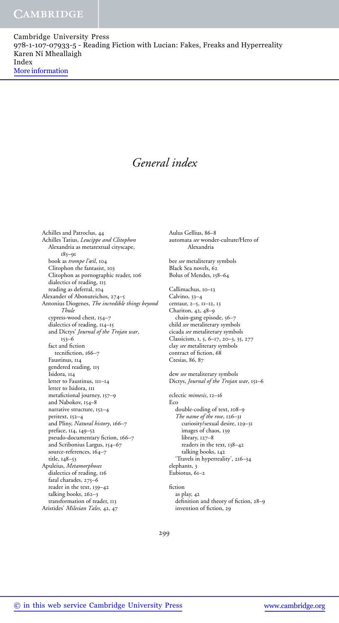# *General index*

Achilles and Patroclus, 44 Achilles Tatius, *Leucippe and Clitophon* Alexandria as metatextual cityscape, 185–91 book as *trompe l'œil*, 104 Clitophon the fantasist, 103 Clitophon as pornographic reader, 106 dialectics of reading, 115 reading as deferral, 104 Alexander of Abonuteichos, 274–5 Antonius Diogenes, *The incredible things beyond Thule* cypress-wood chest, 154–7 dialectics of reading,  $114-15$ and Dictys' *Journal of the Trojan war*, 153–6 fact and fiction tecnifiction, 166–7 Faustinus, 114 gendered reading, 115 Isidora, 114 letter to Faustinus, 111–14 letter to Isidora, III metafictional journey, 157–9 and Nabokov, 154–8 narrative structure, 152–4 peritext, 152–4 and Pliny, *Natural history*, 166–7 preface, 114, 149–52 pseudo-documentary fiction, 166–7 and Scribonius Largus, 154–67 source-references, 164-7 title, 148–53 Apuleius, *Metamorphoses* dialectics of reading, 116 fatal charades, 275–6 reader in the text, 139–42 talking books, 262-3 transformation of reader, 113 Aristides' *Milesian Tales*, 42, 47

Aulus Gellius, 86–8 automata *see* wonder-culture/Hero of Alexandria

bee *see* metaliterary symbols Black Sea novels, 62 Bolus of Mendes, 158–64

Callimachus, 10–13 Calvino, 33–4 centaur, 2–5, 11–12, 13 Chariton, 42, 48–9 chain-gang episode, 56-7 child *see* metaliterary symbols cicada *see* metaliterary symbols Classicism, 1, 5, 6–17, 20–3, 35, 277 clay *see* metaliterary symbols contract of fiction, 68 Ctesias, 86, 87

dew *see* metaliterary symbols Dictys, *Journal of the Trojan war*, 151–6

eclectic *mimesis*, 12–16 Eco double-coding of text, 108–9 *The name of the rose*, 126–31 curiosity/sexual desire, 129–31 images of chaos, 139 library, 127–8 readers in the text, 138–42 talking books, 142 'Travels in hyperreality', 216–34 elephants, 3 Eubiotus, 61–2

fiction as play, 42 definition and theory of fiction, 28–9 invention of fiction, 29

299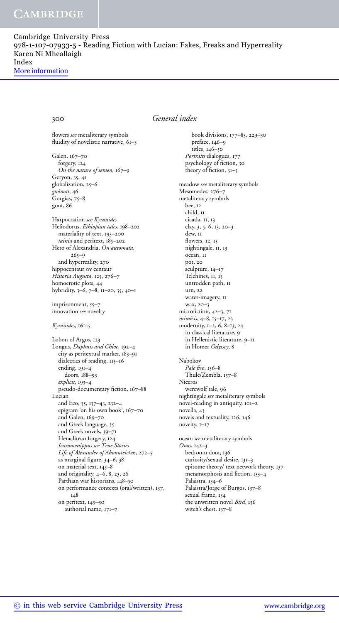flowers *see* metaliterary symbols fluidity of novelistic narrative, 61–3

Galen, 167–70 forgery, 124 *On the nature of semen*, 167–9 Geryon, 35, 41 globalization, 25–6 *gnomai ¯* , 46 Gorgias, 75–8 gout, 86

Harpocration *see Kyranides* Heliodorus, *Ethiopian tales*, 198–202 materiality of text, 193–200 *tainia* and peritext, 185–202 Hero of Alexandria, *On automata*,  $265 - 9$ and hyperreality, 270 hippocentaur *see* centaur *Historia Augusta*, 125, 276–7 homoerotic plots, 44 hybridity, 3–6, 7–8, 11–20, 35, 40–1

imprisonment, 55–7 innovation *see* novelty

*Kyranides*, 161–5

Lobon of Argos, 123 Longus, *Daphnis and Chloe*, 192–4 city as peritextual marker, 183–91 dialectics of reading, 115–16 ending, 191–4 doors, 188–93 *explicit*, 193–4 pseudo-documentary fiction, 167–88 Lucian and Eco, 35, 137–43, 232–4 epigram 'on his own book', 167–70 and Galen, 169–70 and Greek language, 35 and Greek novels, 39–71 Heraclitean forgery, 124 *Icaromenippus see True Stories Life of Alexander of Abonuteichos*, 272–5 as marginal figure, 34–6, 38 on material text, 145–8 and originality, 4–6, 8, 23, 26 Parthian war historians, 148–50 on performance contexts (oral/written), 137, 148 on peritext, 149–50 authorial name, 171–7

## 300 *General index*

book divisions, 177–83, 229–30 preface, 146–9 titles, 146–50 *Portraits* dialogues, 177 psychology of fiction, 30 theory of fiction, 31–5 meadow *see* metaliterary symbols Mesomedes, 276–7 metaliterary symbols bee, 12 child, 11 cicada, 11, 13 clay, 3, 5, 6, 13, 20–3 dew, 11 flowers, 12, 15 nightingale, 11, 13 ocean, 11 pot, 20 sculpture, 14–17 Telchines, II, 13 untrodden path, 11 urn, 22 water-imagery, 11 wax, 20–3 microfiction, 42–3, 71 *mim¯esis*, 4–8, 15–17, 23 modernity, 1–2, 6, 8–13, 24 in classical literature, 9 in Hellenistic literature, 9–11 in Homer *Odyssey*, 8 Nabokov *Pale fire*, 156–8 Thule/Zembla, 157–8 Niceros werewolf tale, 96 nightingale *see* metaliterary symbols novel-reading in antiquity, 101–2 novella, 43 novels and textuality, 126, 146 novelty, 1–17 ocean *see* metaliterary symbols *Onos*, 142–3 bedroom door, 136 curiosity/sexual desire, 131–3 epitome theory/ text network theory, 137 metamorphosis and fiction, 133–4 Palaistra, 134–6

Palaistra/Jorge of Burgos, 137–8 sexual frame, 134

the unwritten novel *Bird*, 136 witch's chest, 137–8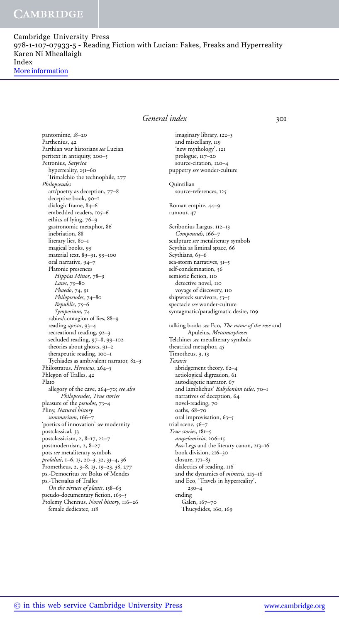pantomime, 18–20

Cambridge University Press 978-1-107-07933-5 - Reading Fiction with Lucian: Fakes, Freaks and Hyperreality Karen Ní Mheallaigh Index More information

> Parthenius, 42 Parthian war historians *see* Lucian peritext in antiquity, 200–5 Petronius, *Satyrica* hyperreality, 251–60 Trimalchio the technophile, 277 *Philopseudes* art/poetry as deception, 77–8 deceptive book, 90–1 dialogic frame, 84–6 embedded readers, 105–6 ethics of lying, 76–9 gastronomic metaphor, 86 inebriation, 88 literary lies, 80–1 magical books, 93 material text, 89–91, 99–100 oral narrative, 94–7 Platonic presences *Hippias Minor*, 78–9 *Laws*, 79–80 *Phaedo*, 74, 91 *Philopseudes*, 74–80 *Republic*, 75–6 *Symposium*, 74 rabies/contagion of lies, 88–9 reading *apista*, 93–4 recreational reading, 92–3 secluded reading, 97–8, 99–102 theories about ghosts, 91–2 therapeutic reading, 100–1 Tychiades as ambivalent narrator, 82–3 Philostratus, *Heroicus*, 264–5

Plato allegory of the cave, 264–70; *see also Philopseudes*, *True stories* pleasure of the *pseudos*, 73–4 Pliny, *Natural history summarium*, 166–7 'poetics of innovation' *see* modernity postclassical, 33 postclassicism, 2, 8–17, 22–7 postmodernism, 2, 8–27 pots *see* metaliterary symbols *prolaliai*, 1–6, 13, 20–3, 32, 33–4, 36 Prometheus, 2, 3–8, 13, 19–23, 38, 277 ps.-Democritus *see* Bolus of Mendes ps.-Thessalus of Tralles *On the virtues of plants*, 158–63 pseudo-documentary fiction, 163–5

Phlegon of Tralles, 42

Ptolemy Chennus, *Novel history*, 116–26 female dedicatee, 118

# *General index* 301

imaginary library, 122–3 and miscellany, 119 'new mythology', 121 prologue, 117–20 source-citation, 120–4 puppetry *see* wonder-culture Quintilian source-references, 125 Roman empire, 44–9 rumour, 47 Scribonius Largus, 112–13 *Compounds*, 166–7 sculpture *see* metaliterary symbols Scythia as liminal space, 66 Scythians, 65-6 sea-storm narratives, 51–5 self-condemnation, 56 semiotic fiction, 110 detective novel, 110 voyage of discovery, 110 shipwreck survivors, 53–5 spectacle *see* wonder-culture syntagmatic/paradigmatic desire, 109 talking books *see* Eco, *The name of the rose* and Apuleius, *Metamorphoses* Telchines *see* metaliterary symbols theatrical metaphor, 45 Timotheus, 9, 13 *Toxaris* abridgement theory, 62–4 aetiological digression, 61 autodiegetic narrator, 67 and Iamblichus' *Babylonian tales*, 70–1 narratives of deception, 64 novel-reading, 70 oaths, 68–70 oral improvisation, 63–5 trial scene, 56-7 *True stories*, 181–5 *ampelomixia*, 206–15 Ass-Legs and the literary canon, 213–16 book division, 216–30 closure, 171–83 dialectics of reading, 116 and the dynamics of *mimesis*, 215–16 and Eco, 'Travels in hyperreality', 230–4 ending Galen, 167–70 Thucydides, 160, 169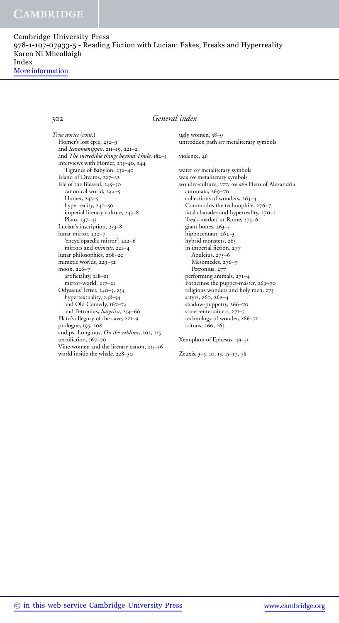# 302 *General index*

*True stories* (*cont*.) Homer's lost epic, 232–9 and *Icaromenippus*, 211–19, 221–2 and *The incredible things beyond Thule*, 182–5 interviews with Homer, 235–40, 244 Tigranes of Babylon, 232–40 Island of Dreams, 227–32 Isle of the Blessed, 245–50 canonical world, 244–5 Homer, 243–5 hyperreality, 240–50 imperial literary culture, 243–8 Plato, 237–43 Lucian's inscription, 253–8 lunar mirror, 222–7 'encyclopaedic mirror', 222–6 mirrors and *mimesis*, 221–4 lunar philosophies, 208–20 mimetic worlds, 229–32 moon, 226–7 artificiality, 218–21 mirror-world, 217–21 Odysseus' letter, 240–5, 254 hypertextuality, 248–54 and Old Comedy, 167–74 and Petronius, *Satyrica*, 254–60 Plato's allegory of the cave, 221–9 prologue, 195, 208 and ps.-Longinus, *On the sublime*, 202, 215 tecnifiction, 167-70 Vine-women and the literary canon, 215–16 world inside the whale, 228–30

ugly women, 58–9 untrodden path *see* metaliterary symbols

### violence, 46

water *see* metaliterary symbols wax *see* metaliterary symbols wonder-culture, 277; *see also* Hero of Alexandria automata, 269–70 collections of wonders, 263–4 Commodus the technophile, 276–7 fatal charades and hyperreality, 270–2 'freak-market' at Rome, 275–6 giant bones, 263–5 hippocentaur, 262-3 hybrid monsters, 265 in imperial fiction, 277 Apuleius, 275–6 Mesomedes, 276–7 Petronius, 277 performing animals, 271–4 Potheinos the puppet-master, 269–70 religious wonders and holy men, 275 satyrs, 260, 262–4 shadow-puppetry, 266–70 street-entertainers, 271–5 technology of wonder, 266–71 tritons, 260, 263

### Xenophon of Ephesus, 49–51

Zeuxis, 3–5, 10, 13, 15–17, 78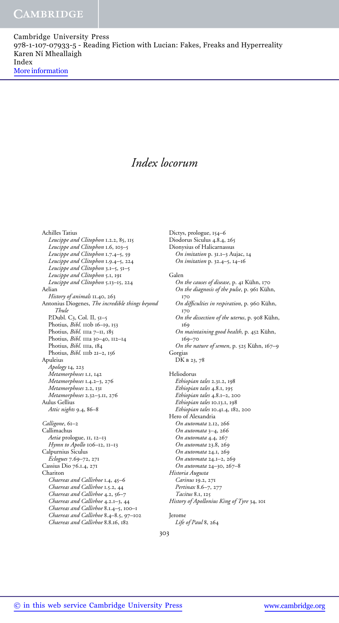# *Index locorum*

Achilles Tatius *Leucippe and Clitophon* 1.2.2, 85, 115 *Leucippe and Clitophon* 1.6, 103–5 *Leucippe and Clitophon* 1.7.4–5, 59 *Leucippe and Clitophon* 1.9.4–5, 224 *Leucippe and Clitophon* 3.1–5, 51–5 *Leucippe and Clitophon* 5.1, 191 *Leucippe and Clitophon* 5.13–15, 224 Aelian *History of animals* 11.40, 263 Antonius Diogenes, *The incredible things beyond Thule* P.Dubl. C3, Col. II, 51–5 Photius, *Bibl.* 110b 16-19, 153 Photius, *Bibl.* 111a 7-11, 185 Photius, *Bibl.* 111a 30–40, 112–14 Photius, *Bibl.* 111a, 184 Photius, *Bibl.* 111b 21-2, 156 Apuleius *Apology* 14, 223 *Metamorphoses* 1.1, 142 *Metamorphoses* 1.4.2–3, 276 *Metamorphoses* 2.2, 131 *Metamorphoses* 2.32–3.11, 276 Aulus Gellius *Attic nights* 9.4, 86–8 *Calligone*, 61–2 Callimachus *Aetia* prologue, 11, 12–13 *Hymn to Apollo* 106–12, 11–13 Calpurnius Siculus *Eclogues* 7.69–72, 271 Cassius Dio 76.1.4, 271 Chariton *Chaereas and Callirhoe* 1.4, 45–6 *Chaereas and Callirhoe* 1.5.2, 44 *Chaereas and Callirhoe* 4.2, 56–7 *Chaereas and Callirhoe* 4.2.1–3, 44 *Chaereas and Callirhoe* 8.1.4–5, 100–1 *Chaereas and Callirhoe* 8.4–8.5, 97–102 *Chaereas and Callirhoe* 8.8.16, 182

Dictys, prologue, 154–6 Diodorus Siculus 4.8.4, 265 Dionysius of Halicarnassus *On imitation* p. 31.1–3 Aujac, 14 *On imitation* p. 32.4–5, 14–16 Galen *On the causes of disease*, p. 41 Kühn, 170 *On the diagnosis of the pulse*, p. 961 Kühn, 170 *On difficulties in respiration*, p. 960 Kühn, 170 *On the dissection of the uterus*, p. 908 Kühn, 160 *On maintaining good health*, p. 452 Kühn, 169–70 *On the nature of semen*, p. 525 Kühn, 167-9 Gorgias DK b 23, 78 Heliodorus *Ethiopian tales* 2.31.2, 198 *Ethiopian tales* 4.8.1, 195 *Ethiopian tales* 4.8.1–2, 200 *Ethiopian tales* 10.13.1, 198 *Ethiopian tales* 10.41.4, 182, 200 Hero of Alexandria *On automata* 2.12, 266 *On automata* 3–4, 266 *On automata* 4.4, 267 *On automata* 23.8, 269 *On automata* 24.1, 269 *On automata* 24.1–2, 269 *On automata* 24–30, 267–8 *Historia Augusta Carinus* 19.2, 271 *Pertinax* 8.6–7, 277 *Tacitus* 8.1, 125 *History of Apollonius King of Tyre* 34, 101 Jerome

*Life of Paul* 8, 264

303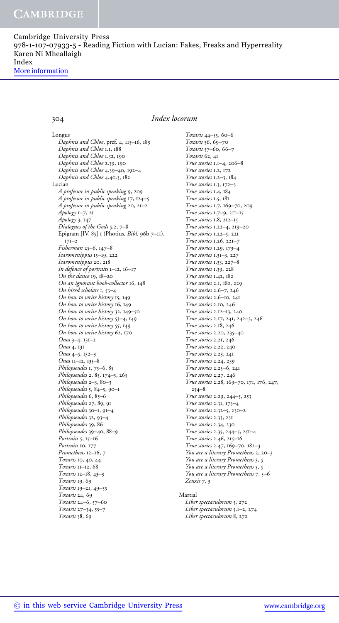# 304 *Index locorum*

Longus *Daphnis and Chloe*, pref. 4, 115–16, 189 *Daphnis and Chloe* 1.1, 188 *Daphnis and Chloe* 1.32, 190 *Daphnis and Chloe* 2.39, 190 *Daphnis and Chloe* 4.39–40, 192–4 *Daphnis and Chloe* 4.40.3, 182 Lucian *A professor in public speaking* 9, 209 *A professor in public speaking* 17, 124–5 *A professor in public speaking* 20, 21–2 *Apology* 1–7, 21 *Apology* 3, 147 *Dialogues of the Gods* 5.2, 7–8 Epigram [IV, 85] 1 (Photius, *Bibl.* 96b 7–11),  $171-2$ *Fisherman* 25–6, 147–8 *Icaromenippus* 15–19, 222 *Icaromenippus* 20, 218 *In defence of portraits* 1–12, 16–17 *On the dance* 19, 18–20 *On an ignorant book-collector* 16, 148 *On hired scholars* 1, 53–4 *On how to write history* 15, 149 *On how to write history* 16, 149 *On how to write history* 32, 149–50 *On how to write history* 53–4, 149 *On how to write history* 55, 149 *On how to write history* 62, 170 *Onos* 3–4, 131–2 *Onos* 4, 131 *Onos* 4–5, 132–3 *Onos* 11–12, 135–8 *Philopseudes* 1, 75–6, 85 *Philopseudes* 2, 85, 174–5, 265 *Philopseudes* 2–3, 80–3 *Philopseudes* 5, 84–5, 90–1 *Philopseudes* 6, 85–6 *Philopseudes* 27, 89, 91 *Philopseudes* 30–1, 91–4 *Philopseudes* 32, 93–4 *Philopseudes* 39, 86 *Philopseudes* 39–40, 88–9 *Portraits* 5, 15–16 *Portraits* 10, 177 *Prometheus* 12–16, 7 *Toxaris* 10, 40, 44 *Toxaris* 11–12, 68 *Toxaris* 12–18, 43–9 *Toxaris* 19, 69 *Toxaris* 19–21, 49–55 *Toxaris* 24, 69 *Toxaris* 24–6, 57–60 *Toxaris* 27–34, 55–7 *Toxaris* 38, 69

*Toxaris* 44–55, 60–6 *Toxaris* 56, 69–70 *Toxaris* 57–60, 66–7 *Toxaris* 62, 41 *True stories* 1.1–4, 206–8 *True stories* 1.2, 172 *True stories* 1.2–3, 184 *True stories* 1.3, 172–3 *True stories* 1.4, 184 *True stories* 1.5, 181 *True stories* 1.7, 169–70, 209 *True stories* 1.7–9, 211–15 *True stories* 1.8, 212–15 *True stories* 1.22–4, 219–20 *True stories* 1.22–5, 221 *True stories* 1.26, 221–7 *True stories* 1.29, 173–4 *True stories* 1.31–3, 227 *True stories* 1.33, 227–8 *True stories* 1.39, 228 *True stories* 1.42, 182 *True stories* 2.1, 182, 229 *True stories* 2.6–7, 246 *True stories* 2.6–10, 241 *True stories* 2.10, 246 *True stories* 2.12–13, 240 *True stories* 2.17, 241, 242–3, 246 *True stories* 2.18, 246 *True stories* 2.20, 235–40 *True stories* 2.21, 246 *True stories* 2.22, 240 *True stories* 2.23, 241 *True stories* 2.24, 239 *True stories* 2.25–6, 241 *True stories* 2.27, 246 *True stories* 2.28, 169–70, 171, 176, 247, 254–8 *True stories* 2.29, 244–5, 253 *True stories* 2.31, 173–4 *True stories* 2.32–5, 230–2 *True stories* 2.33, 231 *True stories* 2.34, 230 *True stories* 2.35, 244–5, 251–4 *True stories* 2.46, 215–16 *True stories* 2.47, 169–70, 182–3 *You are a literary Prometheus* 2, 20–3 *You are a literary Prometheus* 3, 5 *You are a literary Prometheus* 5, 5 *You are a literary Prometheus* 7, 5–6 *Zeuxis* 7, 3

## Martial

*Liber spectaculorum* 5, 272 *Liber spectaculorum* 5.1–2, 274 *Liber spectaculorum* 8, 272